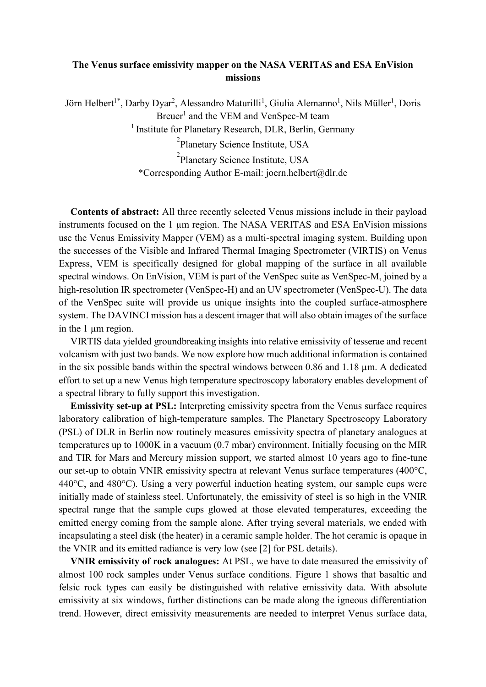## **The Venus surface emissivity mapper on the NASA VERITAS and ESA EnVision missions**

Jörn Helbert<sup>1\*</sup>, Darby Dyar<sup>2</sup>, Alessandro Maturilli<sup>1</sup>, Giulia Alemanno<sup>1</sup>, Nils Müller<sup>1</sup>, Doris Breuer<sup>1</sup> and the VEM and VenSpec-M team <sup>1</sup> Institute for Planetary Research, DLR, Berlin, Germany <sup>2</sup>Planetary Science Institute, USA

<sup>2</sup>Planetary Science Institute, USA \*Corresponding Author E-mail: joern.helbert@dlr.de

**Contents of abstract:** All three recently selected Venus missions include in their payload instruments focused on the 1 µm region. The NASA VERITAS and ESA EnVision missions use the Venus Emissivity Mapper (VEM) as a multi-spectral imaging system. Building upon the successes of the Visible and Infrared Thermal Imaging Spectrometer (VIRTIS) on Venus Express, VEM is specifically designed for global mapping of the surface in all available spectral windows. On EnVision, VEM is part of the VenSpec suite as VenSpec-M, joined by a high-resolution IR spectrometer (VenSpec-H) and an UV spectrometer (VenSpec-U). The data of the VenSpec suite will provide us unique insights into the coupled surface-atmosphere system. The DAVINCI mission has a descent imager that will also obtain images of the surface in the 1 µm region.

VIRTIS data yielded groundbreaking insights into relative emissivity of tesserae and recent volcanism with just two bands. We now explore how much additional information is contained in the six possible bands within the spectral windows between 0.86 and 1.18 µm. A dedicated effort to set up a new Venus high temperature spectroscopy laboratory enables development of a spectral library to fully support this investigation.

**Emissivity set-up at PSL:** Interpreting emissivity spectra from the Venus surface requires laboratory calibration of high-temperature samples. The Planetary Spectroscopy Laboratory (PSL) of DLR in Berlin now routinely measures emissivity spectra of planetary analogues at temperatures up to 1000K in a vacuum (0.7 mbar) environment. Initially focusing on the MIR and TIR for Mars and Mercury mission support, we started almost 10 years ago to fine-tune our set-up to obtain VNIR emissivity spectra at relevant Venus surface temperatures (400°C, 440°C, and 480°C). Using a very powerful induction heating system, our sample cups were initially made of stainless steel. Unfortunately, the emissivity of steel is so high in the VNIR spectral range that the sample cups glowed at those elevated temperatures, exceeding the emitted energy coming from the sample alone. After trying several materials, we ended with incapsulating a steel disk (the heater) in a ceramic sample holder. The hot ceramic is opaque in the VNIR and its emitted radiance is very low (see [2] for PSL details).

**VNIR emissivity of rock analogues:** At PSL, we have to date measured the emissivity of almost 100 rock samples under Venus surface conditions. Figure 1 shows that basaltic and felsic rock types can easily be distinguished with relative emissivity data. With absolute emissivity at six windows, further distinctions can be made along the igneous differentiation trend. However, direct emissivity measurements are needed to interpret Venus surface data,